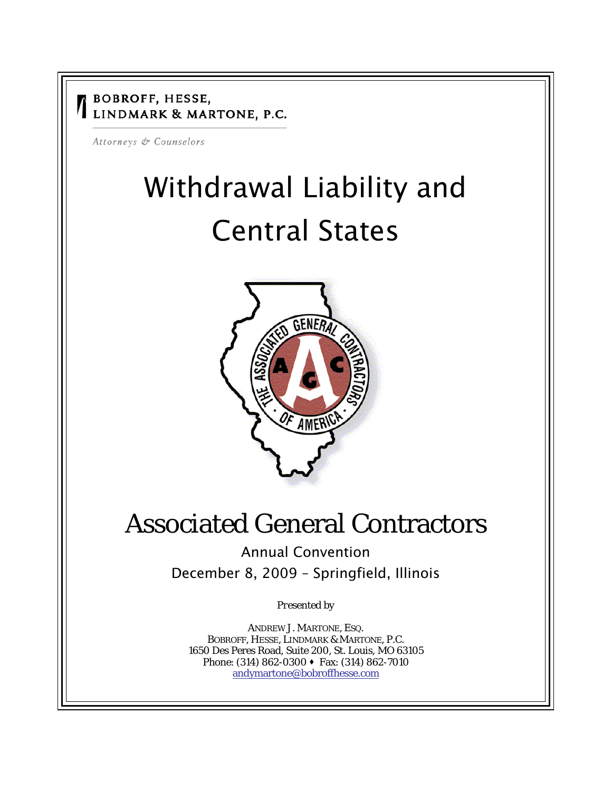#### **BOBROFF, HESSE,** LINDMARK & MARTONE, P.C.

Attorneys & Counselors

# Withdrawal Liability and Central States



## Associated General Contractors

Annual Convention

December 8, 2009 – Springfield, Illinois

*Presented by* 

ANDREW J. MARTONE, ESQ. BOBROFF, HESSE, LINDMARK & MARTONE, P.C. 1650 Des Peres Road, Suite 200, St. Louis, MO 63105 Phone: (314) 862-0300 ♦ Fax: (314) 862-7010 andymartone@bobroffhesse.com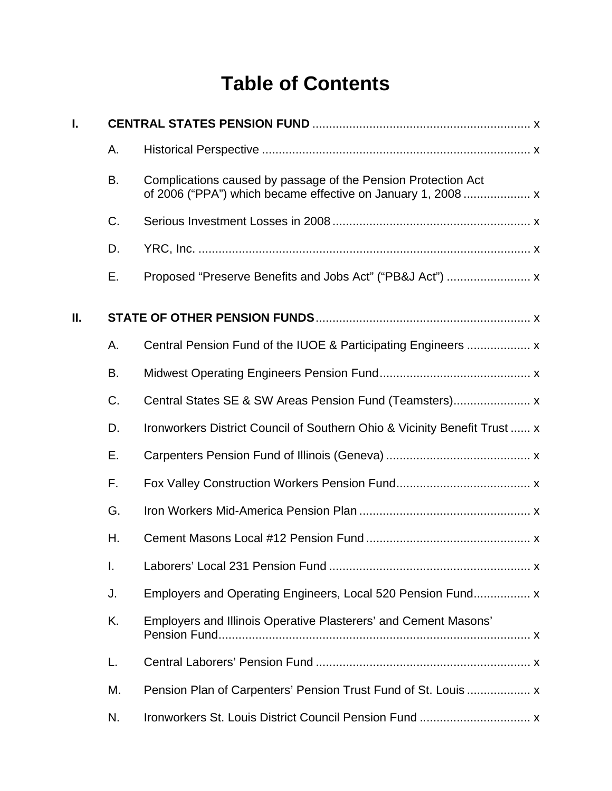### **Table of Contents**

| I. |    |                                                                           |  |
|----|----|---------------------------------------------------------------------------|--|
|    | А. |                                                                           |  |
|    | B. | Complications caused by passage of the Pension Protection Act             |  |
|    | C. |                                                                           |  |
|    | D. |                                                                           |  |
|    | Е. |                                                                           |  |
| Ш. |    |                                                                           |  |
|    | Α. |                                                                           |  |
|    | B. |                                                                           |  |
|    | C. |                                                                           |  |
|    | D. | Ironworkers District Council of Southern Ohio & Vicinity Benefit Trust  x |  |
|    | Е. |                                                                           |  |
|    | F. |                                                                           |  |
|    | G. |                                                                           |  |
|    | Η. |                                                                           |  |
|    | I. |                                                                           |  |
|    | J. |                                                                           |  |
|    | K. | Employers and Illinois Operative Plasterers' and Cement Masons'           |  |
|    | L. |                                                                           |  |
|    | М. |                                                                           |  |
|    | N. |                                                                           |  |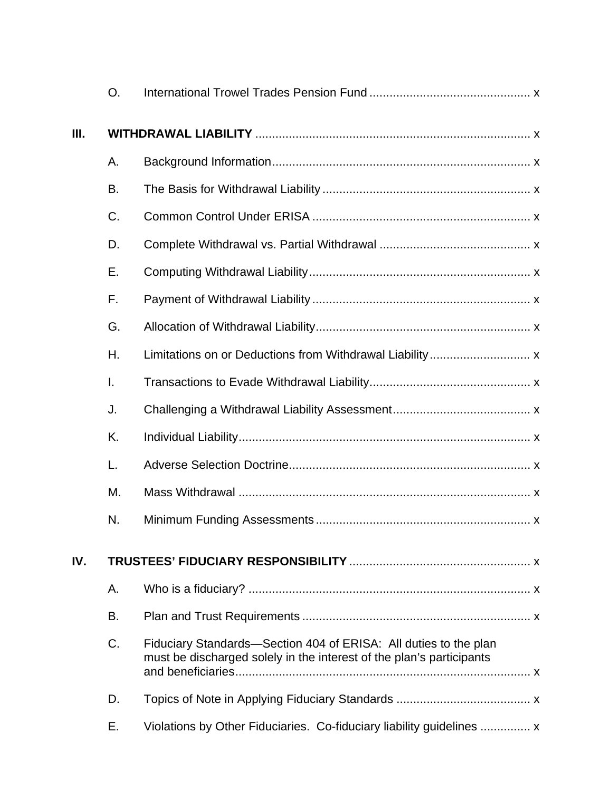|     | O. |                                                                                                                                          |  |
|-----|----|------------------------------------------------------------------------------------------------------------------------------------------|--|
| Ш.  |    |                                                                                                                                          |  |
|     | Α. |                                                                                                                                          |  |
|     | В. |                                                                                                                                          |  |
|     | C. |                                                                                                                                          |  |
|     | D. |                                                                                                                                          |  |
|     | Е. |                                                                                                                                          |  |
|     | F. |                                                                                                                                          |  |
|     | G. |                                                                                                                                          |  |
|     | Η. |                                                                                                                                          |  |
|     | I. |                                                                                                                                          |  |
|     | J. |                                                                                                                                          |  |
|     | K. |                                                                                                                                          |  |
|     | L. |                                                                                                                                          |  |
|     | М. |                                                                                                                                          |  |
|     | N. |                                                                                                                                          |  |
| IV. |    |                                                                                                                                          |  |
|     | Α. |                                                                                                                                          |  |
|     | B. |                                                                                                                                          |  |
|     | C. | Fiduciary Standards—Section 404 of ERISA: All duties to the plan<br>must be discharged solely in the interest of the plan's participants |  |
|     | D. |                                                                                                                                          |  |
|     | Е. | Violations by Other Fiduciaries. Co-fiduciary liability guidelines  x                                                                    |  |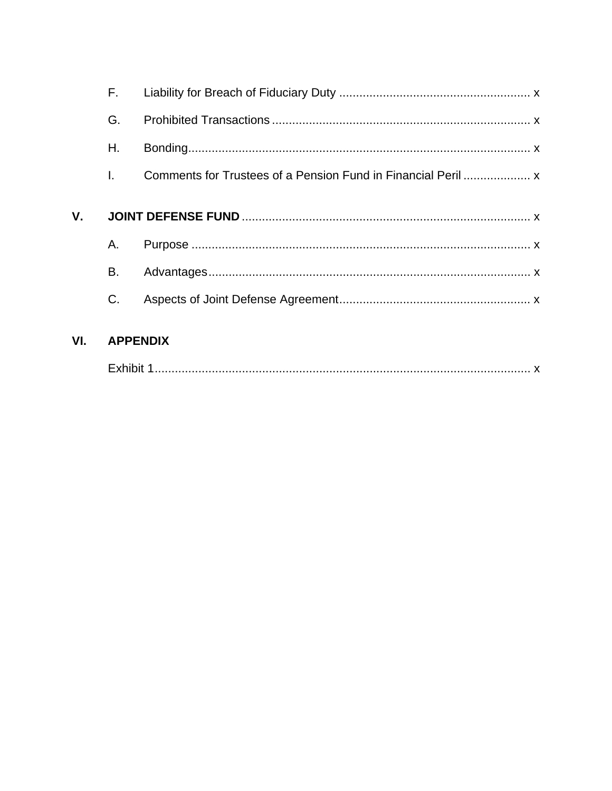|     | F.              |  |
|-----|-----------------|--|
|     | G.              |  |
|     | Η.              |  |
|     | I.              |  |
| V.  |                 |  |
|     | Α.              |  |
|     | B.              |  |
|     | C.              |  |
| VI. | <b>APPENDIX</b> |  |
|     |                 |  |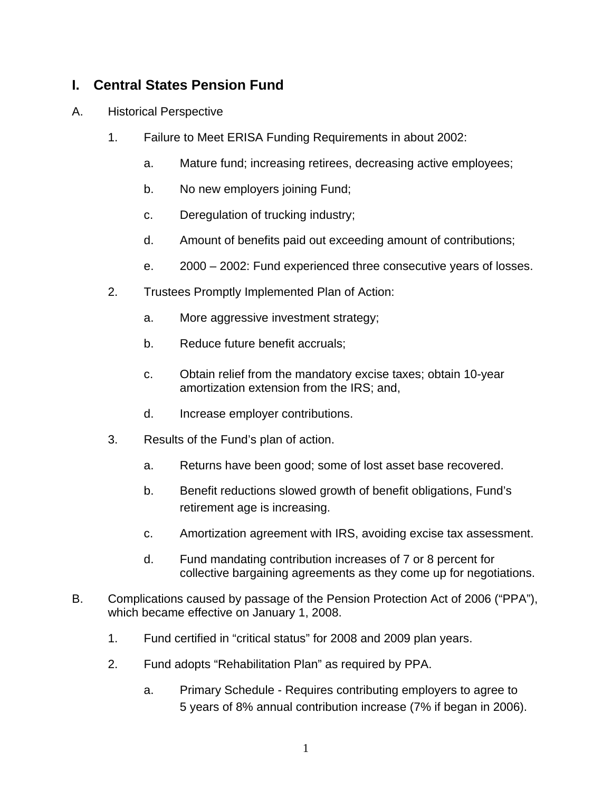#### **I. Central States Pension Fund**

- A. Historical Perspective
	- 1. Failure to Meet ERISA Funding Requirements in about 2002:
		- a. Mature fund; increasing retirees, decreasing active employees;
		- b. No new employers joining Fund;
		- c. Deregulation of trucking industry;
		- d. Amount of benefits paid out exceeding amount of contributions;
		- e. 2000 2002: Fund experienced three consecutive years of losses.
	- 2. Trustees Promptly Implemented Plan of Action:
		- a. More aggressive investment strategy;
		- b. Reduce future benefit accruals;
		- c. Obtain relief from the mandatory excise taxes; obtain 10-year amortization extension from the IRS; and,
		- d. Increase employer contributions.
	- 3. Results of the Fund's plan of action.
		- a. Returns have been good; some of lost asset base recovered.
		- b. Benefit reductions slowed growth of benefit obligations, Fund's retirement age is increasing.
		- c. Amortization agreement with IRS, avoiding excise tax assessment.
		- d. Fund mandating contribution increases of 7 or 8 percent for collective bargaining agreements as they come up for negotiations.
- B. Complications caused by passage of the Pension Protection Act of 2006 ("PPA"), which became effective on January 1, 2008.
	- 1. Fund certified in "critical status" for 2008 and 2009 plan years.
	- 2. Fund adopts "Rehabilitation Plan" as required by PPA.
		- a. Primary Schedule Requires contributing employers to agree to 5 years of 8% annual contribution increase (7% if began in 2006).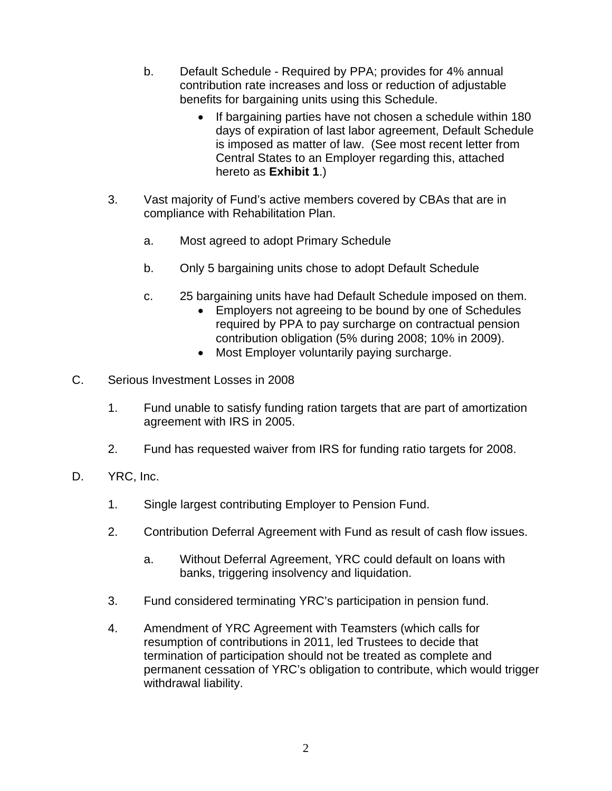- b. Default Schedule Required by PPA; provides for 4% annual contribution rate increases and loss or reduction of adjustable benefits for bargaining units using this Schedule.
	- If bargaining parties have not chosen a schedule within 180 days of expiration of last labor agreement, Default Schedule is imposed as matter of law. (See most recent letter from Central States to an Employer regarding this, attached hereto as **Exhibit 1**.)
- 3. Vast majority of Fund's active members covered by CBAs that are in compliance with Rehabilitation Plan.
	- a. Most agreed to adopt Primary Schedule
	- b. Only 5 bargaining units chose to adopt Default Schedule
	- c. 25 bargaining units have had Default Schedule imposed on them.
		- Employers not agreeing to be bound by one of Schedules required by PPA to pay surcharge on contractual pension contribution obligation (5% during 2008; 10% in 2009).
		- Most Employer voluntarily paying surcharge.
- C. Serious Investment Losses in 2008
	- 1. Fund unable to satisfy funding ration targets that are part of amortization agreement with IRS in 2005.
	- 2. Fund has requested waiver from IRS for funding ratio targets for 2008.
- D. YRC, Inc.
	- 1. Single largest contributing Employer to Pension Fund.
	- 2. Contribution Deferral Agreement with Fund as result of cash flow issues.
		- a. Without Deferral Agreement, YRC could default on loans with banks, triggering insolvency and liquidation.
	- 3. Fund considered terminating YRC's participation in pension fund.
	- 4. Amendment of YRC Agreement with Teamsters (which calls for resumption of contributions in 2011, led Trustees to decide that termination of participation should not be treated as complete and permanent cessation of YRC's obligation to contribute, which would trigger withdrawal liability.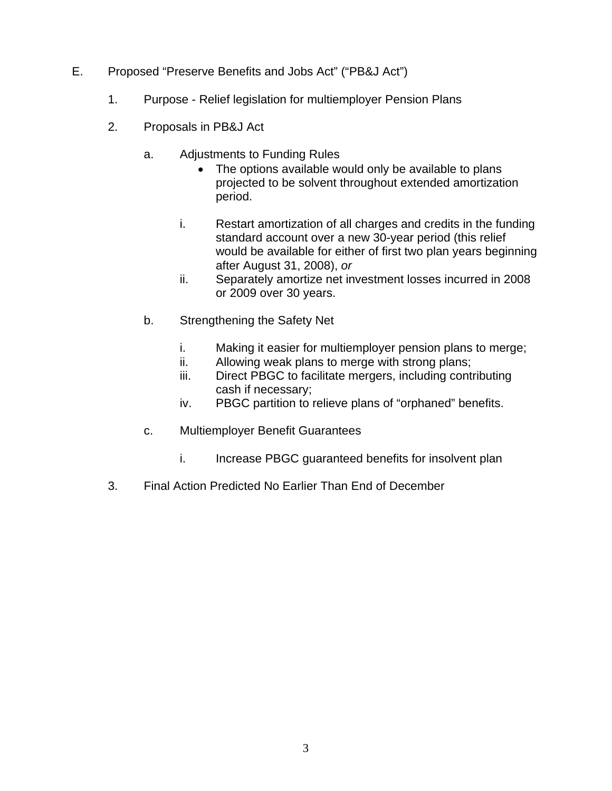- E. Proposed "Preserve Benefits and Jobs Act" ("PB&J Act")
	- 1. Purpose Relief legislation for multiemployer Pension Plans
	- 2. Proposals in PB&J Act
		- a. Adjustments to Funding Rules
			- The options available would only be available to plans projected to be solvent throughout extended amortization period.
			- i. Restart amortization of all charges and credits in the funding standard account over a new 30-year period (this relief would be available for either of first two plan years beginning after August 31, 2008), *or*
			- ii. Separately amortize net investment losses incurred in 2008 or 2009 over 30 years.
		- b. Strengthening the Safety Net
			- i. Making it easier for multiemployer pension plans to merge;
			- ii. Allowing weak plans to merge with strong plans;
			- iii. Direct PBGC to facilitate mergers, including contributing cash if necessary;
			- iv. PBGC partition to relieve plans of "orphaned" benefits.
		- c. Multiemployer Benefit Guarantees
			- i. Increase PBGC quaranteed benefits for insolvent plan
	- 3. Final Action Predicted No Earlier Than End of December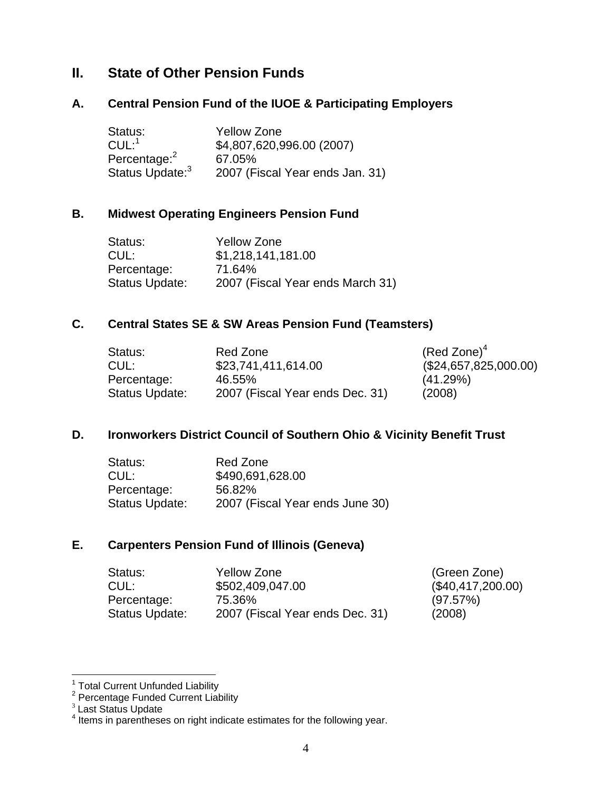#### **II. State of Other Pension Funds**

#### **A. Central Pension Fund of the IUOE & Participating Employers**

| Status:                     | <b>Yellow Zone</b>              |
|-----------------------------|---------------------------------|
| $CUL:$ <sup>1</sup>         | \$4,807,620,996.00 (2007)       |
| Percentage: <sup>2</sup>    | 67.05%                          |
| Status Update: <sup>3</sup> | 2007 (Fiscal Year ends Jan. 31) |

#### **B. Midwest Operating Engineers Pension Fund**

| <b>Yellow Zone</b>               |
|----------------------------------|
| \$1,218,141,181.00               |
| 71.64%                           |
| 2007 (Fiscal Year ends March 31) |
|                                  |

#### **C. Central States SE & SW Areas Pension Fund (Teamsters)**

| Status:        | Red Zone                        | $(Red\;Zone)^4$       |
|----------------|---------------------------------|-----------------------|
| CUL:           | \$23,741,411,614.00             | (\$24,657,825,000.00) |
| Percentage:    | 46.55%                          | (41.29%)              |
| Status Update: | 2007 (Fiscal Year ends Dec. 31) | (2008)                |

#### **D. Ironworkers District Council of Southern Ohio & Vicinity Benefit Trust**

| Red Zone                        |
|---------------------------------|
| \$490,691,628.00                |
| 56.82%                          |
| 2007 (Fiscal Year ends June 30) |
|                                 |

#### **E. Carpenters Pension Fund of Illinois (Geneva)**

| Status:        | Yellow Zone                     | (Green Zone)      |
|----------------|---------------------------------|-------------------|
| CUL:           | \$502,409,047.00                | (\$40,417,200.00) |
| Percentage:    | 75.36%                          | (97.57%)          |
| Status Update: | 2007 (Fiscal Year ends Dec. 31) | (2008)            |

 1 Total Current Unfunded Liability 2 Percentage Funded Current Liability

<sup>&</sup>lt;sup>3</sup> Last Status Update

<sup>&</sup>lt;sup>4</sup> Items in parentheses on right indicate estimates for the following year.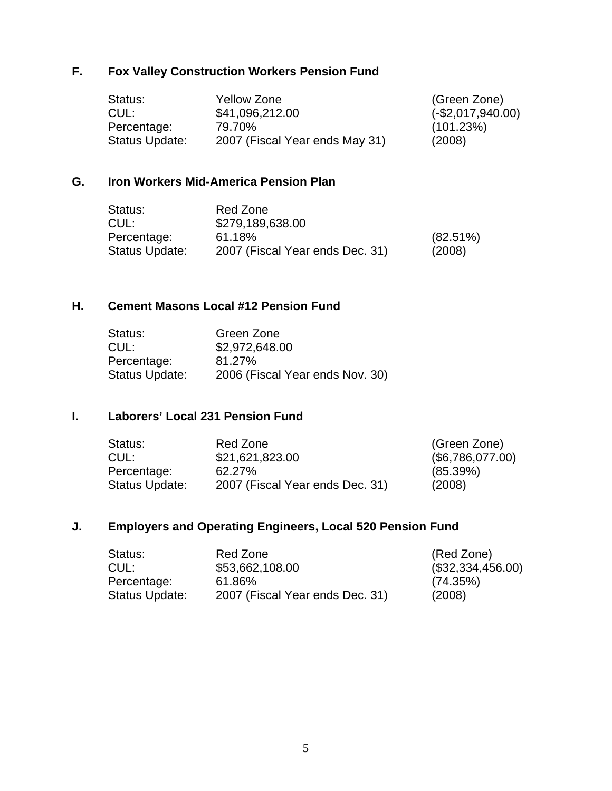#### **F. Fox Valley Construction Workers Pension Fund**

| Status:        | Yellow Zone                    | (Green Zone)        |
|----------------|--------------------------------|---------------------|
| CUL:           | \$41,096,212.00                | $(-\$2,017,940.00)$ |
| Percentage:    | 79.70%                         | (101.23%)           |
| Status Update: | 2007 (Fiscal Year ends May 31) | (2008)              |

#### **G. Iron Workers Mid-America Pension Plan**

| Status:        | Red Zone                        |             |
|----------------|---------------------------------|-------------|
| CUL:           | \$279,189,638.00                |             |
| Percentage:    | 61.18%                          | $(82.51\%)$ |
| Status Update: | 2007 (Fiscal Year ends Dec. 31) | (2008)      |

#### **H. Cement Masons Local #12 Pension Fund**

| Status:               | Green Zone                      |
|-----------------------|---------------------------------|
| CUL:                  | \$2,972,648.00                  |
| Percentage:           | 81.27%                          |
| <b>Status Update:</b> | 2006 (Fiscal Year ends Nov. 30) |

#### **I. Laborers' Local 231 Pension Fund**

| Status:        | Red Zone                        | (Green Zone)     |
|----------------|---------------------------------|------------------|
| CUL:           | \$21,621,823.00                 | (\$6,786,077.00) |
| Percentage:    | 62.27%                          | (85.39%)         |
| Status Update: | 2007 (Fiscal Year ends Dec. 31) | (2008)           |

#### **J. Employers and Operating Engineers, Local 520 Pension Fund**

| Status:        | Red Zone                        | (Red Zone)        |
|----------------|---------------------------------|-------------------|
| CUL:           | \$53,662,108.00                 | (\$32,334,456.00) |
| Percentage:    | 61.86%                          | (74.35%)          |
| Status Update: | 2007 (Fiscal Year ends Dec. 31) | (2008)            |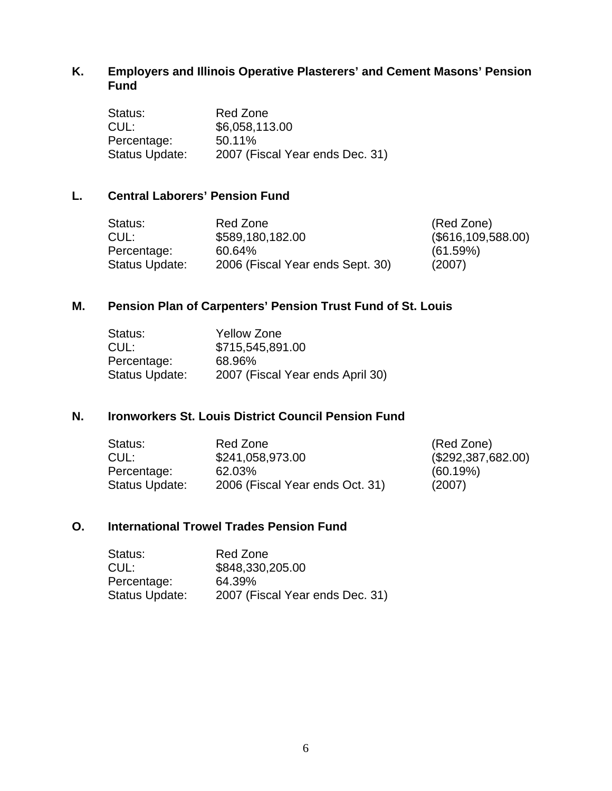#### **K. Employers and Illinois Operative Plasterers' and Cement Masons' Pension Fund**

| Status:        | Red Zone                        |
|----------------|---------------------------------|
| CUL:           | \$6,058,113.00                  |
| Percentage:    | 50.11%                          |
| Status Update: | 2007 (Fiscal Year ends Dec. 31) |

#### **L. Central Laborers' Pension Fund**

| Status:        | Red Zone                         | (Red Zone)         |
|----------------|----------------------------------|--------------------|
| CUL:           | \$589,180,182.00                 | (\$616,109,588.00) |
| Percentage:    | 60.64%                           | (61.59%)           |
| Status Update: | 2006 (Fiscal Year ends Sept. 30) | (2007)             |

#### **M. Pension Plan of Carpenters' Pension Trust Fund of St. Louis**

| <b>Yellow Zone</b>               |
|----------------------------------|
| \$715,545,891.00                 |
| 68.96%                           |
| 2007 (Fiscal Year ends April 30) |
|                                  |

#### **N. Ironworkers St. Louis District Council Pension Fund**

| Status:        | Red Zone                        | (Red Zone)         |
|----------------|---------------------------------|--------------------|
| CUL:           | \$241,058,973.00                | (\$292,387,682.00) |
| Percentage:    | 62.03%                          | (60.19%)           |
| Status Update: | 2006 (Fiscal Year ends Oct. 31) | (2007)             |

#### **O. International Trowel Trades Pension Fund**

| Status:        | Red Zone                        |
|----------------|---------------------------------|
| CUL:           | \$848,330,205.00                |
| Percentage:    | 64.39%                          |
| Status Update: | 2007 (Fiscal Year ends Dec. 31) |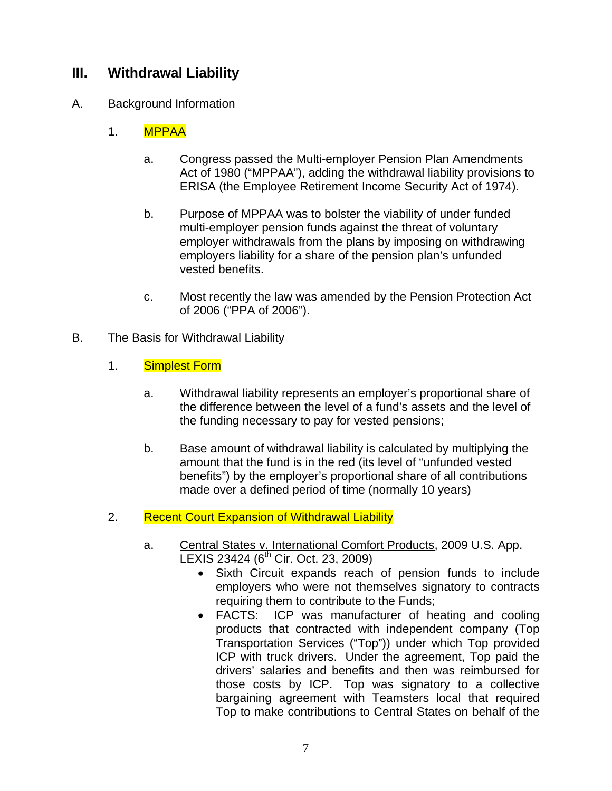#### **III. Withdrawal Liability**

#### A. Background Information

#### 1. MPPAA

- a. Congress passed the Multi-employer Pension Plan Amendments Act of 1980 ("MPPAA"), adding the withdrawal liability provisions to ERISA (the Employee Retirement Income Security Act of 1974).
- b. Purpose of MPPAA was to bolster the viability of under funded multi-employer pension funds against the threat of voluntary employer withdrawals from the plans by imposing on withdrawing employers liability for a share of the pension plan's unfunded vested benefits.
- c. Most recently the law was amended by the Pension Protection Act of 2006 ("PPA of 2006").
- B. The Basis for Withdrawal Liability
	- 1. Simplest Form
		- a. Withdrawal liability represents an employer's proportional share of the difference between the level of a fund's assets and the level of the funding necessary to pay for vested pensions;
		- b. Base amount of withdrawal liability is calculated by multiplying the amount that the fund is in the red (its level of "unfunded vested benefits") by the employer's proportional share of all contributions made over a defined period of time (normally 10 years)
	- 2. Recent Court Expansion of Withdrawal Liability
		- a. Central States v. International Comfort Products, 2009 U.S. App. LEXIS 23424 (6<sup>th</sup> Cir. Oct. 23, 2009)
			- Sixth Circuit expands reach of pension funds to include employers who were not themselves signatory to contracts requiring them to contribute to the Funds;
			- FACTS: ICP was manufacturer of heating and cooling products that contracted with independent company (Top Transportation Services ("Top")) under which Top provided ICP with truck drivers. Under the agreement, Top paid the drivers' salaries and benefits and then was reimbursed for those costs by ICP. Top was signatory to a collective bargaining agreement with Teamsters local that required Top to make contributions to Central States on behalf of the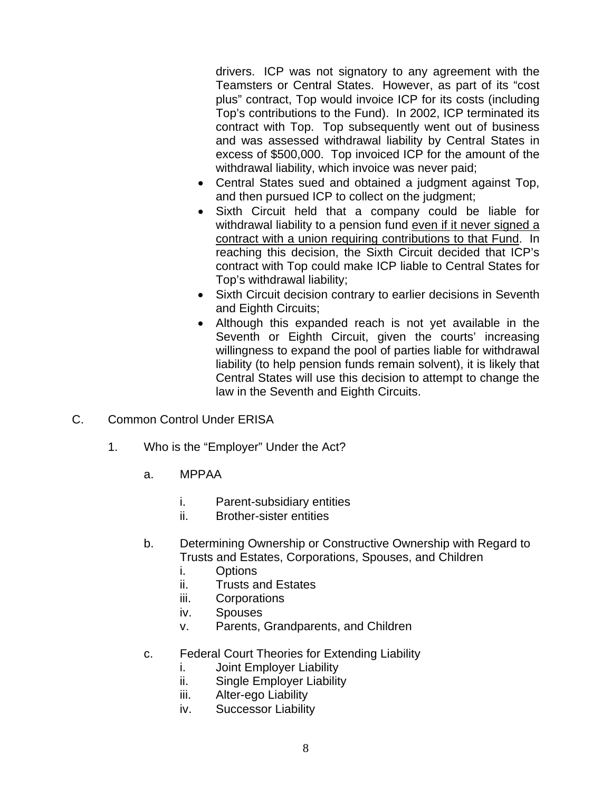drivers. ICP was not signatory to any agreement with the Teamsters or Central States. However, as part of its "cost plus" contract, Top would invoice ICP for its costs (including Top's contributions to the Fund). In 2002, ICP terminated its contract with Top. Top subsequently went out of business and was assessed withdrawal liability by Central States in excess of \$500,000. Top invoiced ICP for the amount of the withdrawal liability, which invoice was never paid;

- Central States sued and obtained a judgment against Top, and then pursued ICP to collect on the judgment;
- Sixth Circuit held that a company could be liable for withdrawal liability to a pension fund even if it never signed a contract with a union requiring contributions to that Fund. In reaching this decision, the Sixth Circuit decided that ICP's contract with Top could make ICP liable to Central States for Top's withdrawal liability;
- Sixth Circuit decision contrary to earlier decisions in Seventh and Eighth Circuits;
- Although this expanded reach is not yet available in the Seventh or Eighth Circuit, given the courts' increasing willingness to expand the pool of parties liable for withdrawal liability (to help pension funds remain solvent), it is likely that Central States will use this decision to attempt to change the law in the Seventh and Eighth Circuits.
- C. Common Control Under ERISA
	- 1. Who is the "Employer" Under the Act?
		- a. MPPAA
			- i. Parent-subsidiary entities
			- ii. Brother-sister entities
		- b. Determining Ownership or Constructive Ownership with Regard to Trusts and Estates, Corporations, Spouses, and Children
			- i. Options
			- ii. Trusts and Estates
			- iii. Corporations
			- iv. Spouses
			- v. Parents, Grandparents, and Children
		- c. Federal Court Theories for Extending Liability
			- i. Joint Employer Liability
			- ii. Single Employer Liability
			- iii. Alter-ego Liability
			- iv. Successor Liability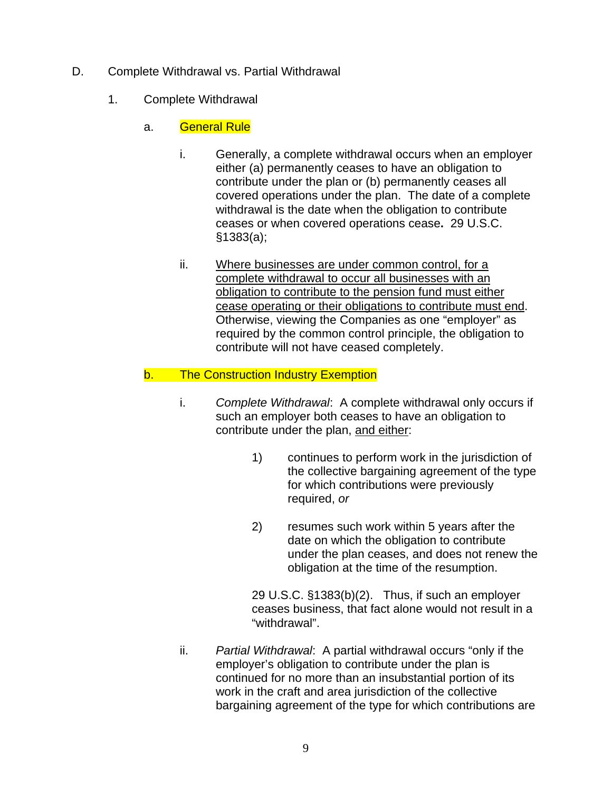- D. Complete Withdrawal vs. Partial Withdrawal
	- 1. Complete Withdrawal
		- a. General Rule
			- i. Generally, a complete withdrawal occurs when an employer either (a) permanently ceases to have an obligation to contribute under the plan or (b) permanently ceases all covered operations under the plan. The date of a complete withdrawal is the date when the obligation to contribute ceases or when covered operations cease**.** 29 U.S.C. §1383(a);
			- ii. Where businesses are under common control, for a complete withdrawal to occur all businesses with an obligation to contribute to the pension fund must either cease operating or their obligations to contribute must end. Otherwise, viewing the Companies as one "employer" as required by the common control principle, the obligation to contribute will not have ceased completely.
		- b. The Construction Industry Exemption
			- i. *Complete Withdrawal*: A complete withdrawal only occurs if such an employer both ceases to have an obligation to contribute under the plan, and either:
				- 1) continues to perform work in the jurisdiction of the collective bargaining agreement of the type for which contributions were previously required, *or*
				- 2) resumes such work within 5 years after the date on which the obligation to contribute under the plan ceases, and does not renew the obligation at the time of the resumption.

 29 U.S.C. §1383(b)(2). Thus, if such an employer ceases business, that fact alone would not result in a "withdrawal".

 ii. *Partial Withdrawal*: A partial withdrawal occurs "only if the employer's obligation to contribute under the plan is continued for no more than an insubstantial portion of its work in the craft and area jurisdiction of the collective bargaining agreement of the type for which contributions are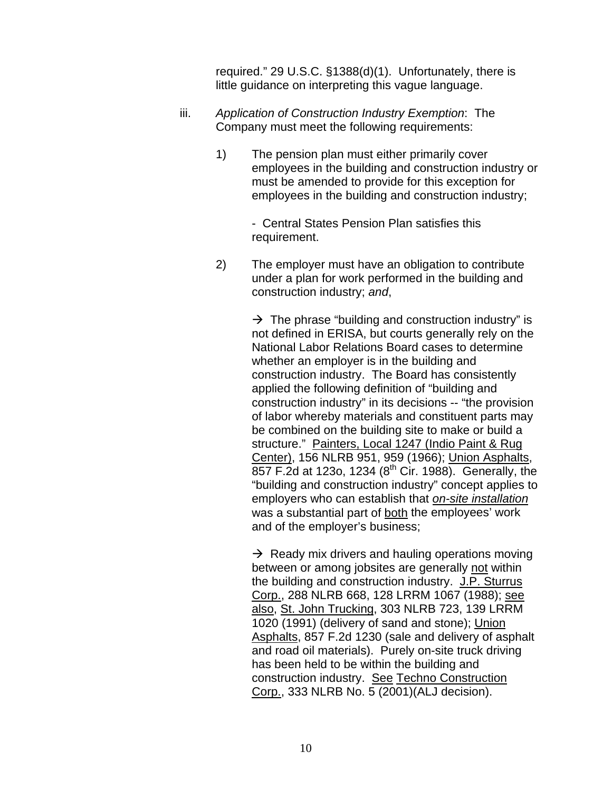required." 29 U.S.C. §1388(d)(1). Unfortunately, there is little guidance on interpreting this vague language.

- iii. *Application of Construction Industry Exemption*: The Company must meet the following requirements:
	- 1) The pension plan must either primarily cover employees in the building and construction industry or must be amended to provide for this exception for employees in the building and construction industry;

 - Central States Pension Plan satisfies this requirement.

2) The employer must have an obligation to contribute under a plan for work performed in the building and construction industry; *and*,

> $\rightarrow$  The phrase "building and construction industry" is not defined in ERISA, but courts generally rely on the National Labor Relations Board cases to determine whether an employer is in the building and construction industry. The Board has consistently applied the following definition of "building and construction industry" in its decisions -- "the provision of labor whereby materials and constituent parts may be combined on the building site to make or build a structure." Painters, Local 1247 (Indio Paint & Rug Center), 156 NLRB 951, 959 (1966); Union Asphalts, 857 F.2d at 123o, 1234 (8th Cir. 1988). Generally, the "building and construction industry" concept applies to employers who can establish that *on-site installation* was a substantial part of both the employees' work and of the employer's business;

> $\rightarrow$  Ready mix drivers and hauling operations moving between or among jobsites are generally not within the building and construction industry. J.P. Sturrus Corp., 288 NLRB 668, 128 LRRM 1067 (1988); see also, St. John Trucking, 303 NLRB 723, 139 LRRM 1020 (1991) (delivery of sand and stone); Union Asphalts, 857 F.2d 1230 (sale and delivery of asphalt and road oil materials). Purely on-site truck driving has been held to be within the building and construction industry. See Techno Construction Corp., 333 NLRB No. 5 (2001)(ALJ decision).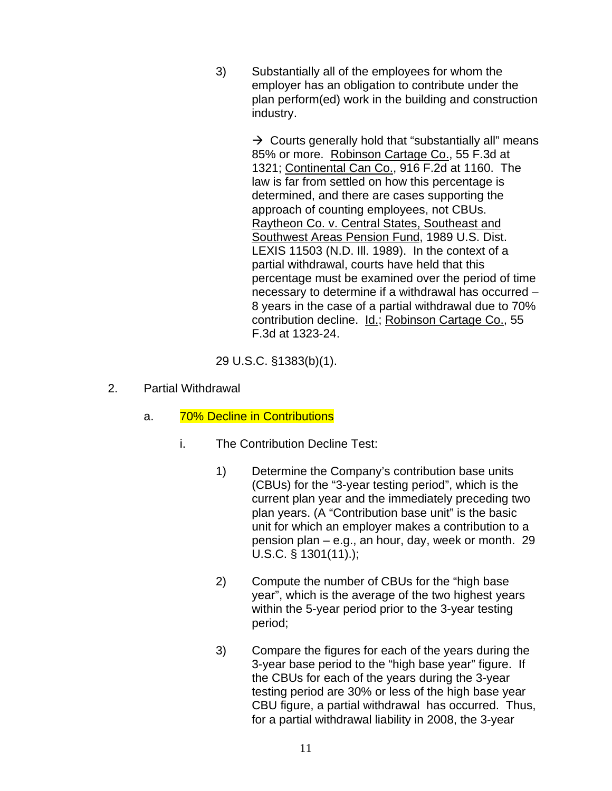3) Substantially all of the employees for whom the employer has an obligation to contribute under the plan perform(ed) work in the building and construction industry.

> $\rightarrow$  Courts generally hold that "substantially all" means 85% or more. Robinson Cartage Co., 55 F.3d at 1321; Continental Can Co., 916 F.2d at 1160. The law is far from settled on how this percentage is determined, and there are cases supporting the approach of counting employees, not CBUs. Raytheon Co. v. Central States, Southeast and Southwest Areas Pension Fund, 1989 U.S. Dist. LEXIS 11503 (N.D. Ill. 1989). In the context of a partial withdrawal, courts have held that this percentage must be examined over the period of time necessary to determine if a withdrawal has occurred – 8 years in the case of a partial withdrawal due to 70% contribution decline. Id.; Robinson Cartage Co., 55 F.3d at 1323-24.

29 U.S.C. §1383(b)(1).

- 2. Partial Withdrawal
	- a. 70% Decline in Contributions
		- i. The Contribution Decline Test:
			- 1) Determine the Company's contribution base units (CBUs) for the "3-year testing period", which is the current plan year and the immediately preceding two plan years. (A "Contribution base unit" is the basic unit for which an employer makes a contribution to a pension plan – e.g., an hour, day, week or month. 29 U.S.C. § 1301(11).);
			- 2) Compute the number of CBUs for the "high base year", which is the average of the two highest years within the 5-year period prior to the 3-year testing period;
			- 3) Compare the figures for each of the years during the 3-year base period to the "high base year" figure. If the CBUs for each of the years during the 3-year testing period are 30% or less of the high base year CBU figure, a partial withdrawal has occurred. Thus, for a partial withdrawal liability in 2008, the 3-year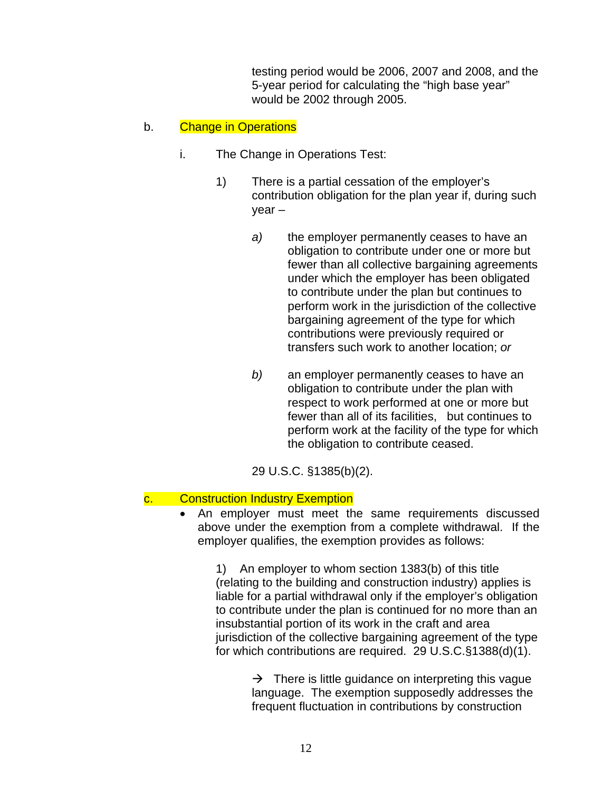testing period would be 2006, 2007 and 2008, and the 5-year period for calculating the "high base year" would be 2002 through 2005.

#### b. Change in Operations

- i. The Change in Operations Test:
	- 1) There is a partial cessation of the employer's contribution obligation for the plan year if, during such year –
		- *a)* the employer permanently ceases to have an obligation to contribute under one or more but fewer than all collective bargaining agreements under which the employer has been obligated to contribute under the plan but continues to perform work in the jurisdiction of the collective bargaining agreement of the type for which contributions were previously required or transfers such work to another location; *or*
		- *b)* an employer permanently ceases to have an obligation to contribute under the plan with respect to work performed at one or more but fewer than all of its facilities, but continues to perform work at the facility of the type for which the obligation to contribute ceased.

29 U.S.C. §1385(b)(2).

#### c. Construction Industry Exemption

• An employer must meet the same requirements discussed above under the exemption from a complete withdrawal. If the employer qualifies, the exemption provides as follows:

1) An employer to whom section 1383(b) of this title (relating to the building and construction industry) applies is liable for a partial withdrawal only if the employer's obligation to contribute under the plan is continued for no more than an insubstantial portion of its work in the craft and area jurisdiction of the collective bargaining agreement of the type for which contributions are required. 29 U.S.C.§1388(d)(1).

> $\rightarrow$  There is little guidance on interpreting this vague language. The exemption supposedly addresses the frequent fluctuation in contributions by construction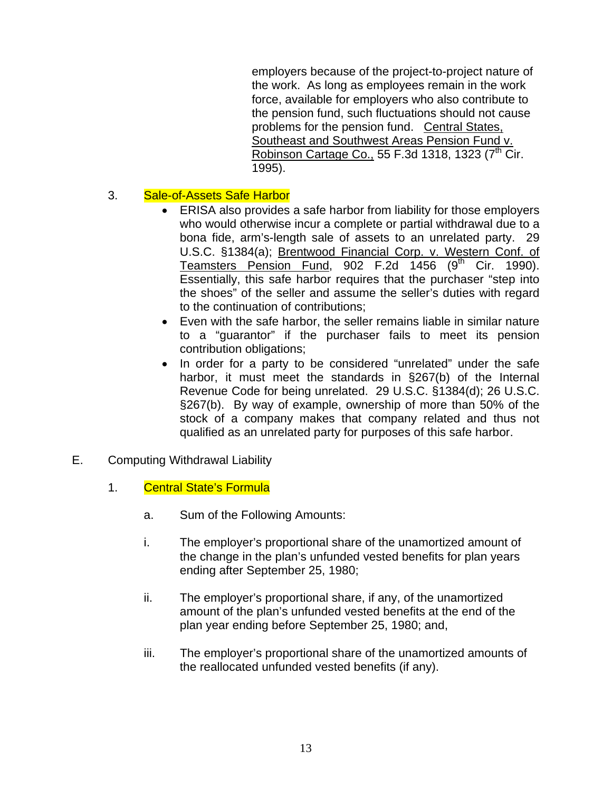employers because of the project-to-project nature of the work. As long as employees remain in the work force, available for employers who also contribute to the pension fund, such fluctuations should not cause problems for the pension fund. Central States, Southeast and Southwest Areas Pension Fund v. Robinson Cartage Co., 55 F.3d 1318, 1323  $(7<sup>th</sup>$  Cir. 1995).

#### 3. Sale-of-Assets Safe Harbor

- ERISA also provides a safe harbor from liability for those employers who would otherwise incur a complete or partial withdrawal due to a bona fide, arm's-length sale of assets to an unrelated party. 29 U.S.C. §1384(a); Brentwood Financial Corp. v. Western Conf. of Teamsters Pension Fund, 902 F.2d  $1456$  (9<sup>th</sup> Cir. 1990). Essentially, this safe harbor requires that the purchaser "step into the shoes" of the seller and assume the seller's duties with regard to the continuation of contributions;
- Even with the safe harbor, the seller remains liable in similar nature to a "guarantor" if the purchaser fails to meet its pension contribution obligations;
- In order for a party to be considered "unrelated" under the safe harbor, it must meet the standards in §267(b) of the Internal Revenue Code for being unrelated. 29 U.S.C. §1384(d); 26 U.S.C. §267(b). By way of example, ownership of more than 50% of the stock of a company makes that company related and thus not qualified as an unrelated party for purposes of this safe harbor.
- E. Computing Withdrawal Liability
	- 1. Central State's Formula
		- a. Sum of the Following Amounts:
		- i. The employer's proportional share of the unamortized amount of the change in the plan's unfunded vested benefits for plan years ending after September 25, 1980;
		- ii. The employer's proportional share, if any, of the unamortized amount of the plan's unfunded vested benefits at the end of the plan year ending before September 25, 1980; and,
		- iii. The employer's proportional share of the unamortized amounts of the reallocated unfunded vested benefits (if any).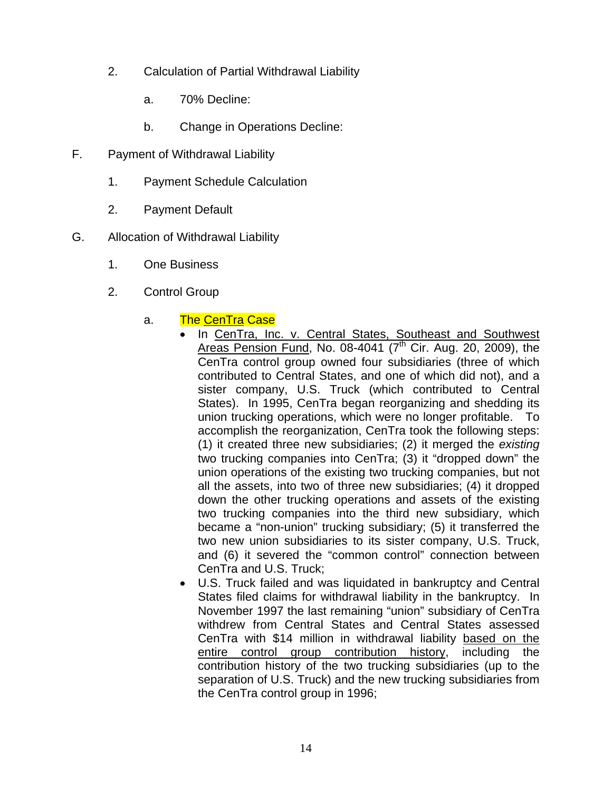- 2. Calculation of Partial Withdrawal Liability
	- a. 70% Decline:
	- b. Change in Operations Decline:
- F. Payment of Withdrawal Liability
	- 1. Payment Schedule Calculation
	- 2. Payment Default
- G. Allocation of Withdrawal Liability
	- 1. One Business
	- 2. Control Group
		- a. The CenTra Case
			- In CenTra, Inc. v. Central States, Southeast and Southwest Areas Pension Fund, No. 08-4041 ( $7<sup>th</sup>$  Cir. Aug. 20, 2009), the CenTra control group owned four subsidiaries (three of which contributed to Central States, and one of which did not), and a sister company, U.S. Truck (which contributed to Central States). In 1995, CenTra began reorganizing and shedding its union trucking operations, which were no longer profitable. To accomplish the reorganization, CenTra took the following steps: (1) it created three new subsidiaries; (2) it merged the *existing* two trucking companies into CenTra; (3) it "dropped down" the union operations of the existing two trucking companies, but not all the assets, into two of three new subsidiaries; (4) it dropped down the other trucking operations and assets of the existing two trucking companies into the third new subsidiary, which became a "non-union" trucking subsidiary; (5) it transferred the two new union subsidiaries to its sister company, U.S. Truck, and (6) it severed the "common control" connection between CenTra and U.S. Truck;
			- U.S. Truck failed and was liquidated in bankruptcy and Central States filed claims for withdrawal liability in the bankruptcy. In November 1997 the last remaining "union" subsidiary of CenTra withdrew from Central States and Central States assessed CenTra with \$14 million in withdrawal liability based on the entire control group contribution history, including the contribution history of the two trucking subsidiaries (up to the separation of U.S. Truck) and the new trucking subsidiaries from the CenTra control group in 1996;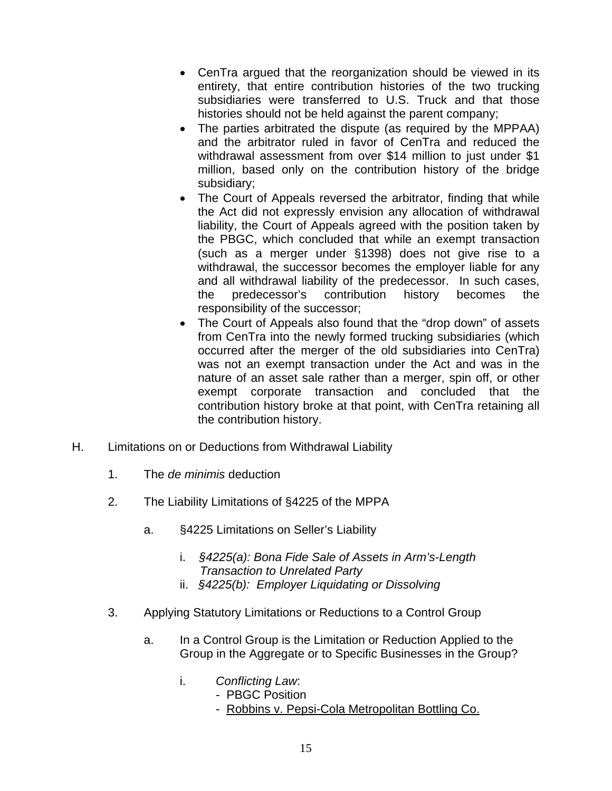- CenTra argued that the reorganization should be viewed in its entirety, that entire contribution histories of the two trucking subsidiaries were transferred to U.S. Truck and that those histories should not be held against the parent company;
- The parties arbitrated the dispute (as required by the MPPAA) and the arbitrator ruled in favor of CenTra and reduced the withdrawal assessment from over \$14 million to just under \$1 million, based only on the contribution history of the bridge subsidiary;
- The Court of Appeals reversed the arbitrator, finding that while the Act did not expressly envision any allocation of withdrawal liability, the Court of Appeals agreed with the position taken by the PBGC, which concluded that while an exempt transaction (such as a merger under §1398) does not give rise to a withdrawal, the successor becomes the employer liable for any and all withdrawal liability of the predecessor. In such cases, the predecessor's contribution history becomes the responsibility of the successor;
- The Court of Appeals also found that the "drop down" of assets from CenTra into the newly formed trucking subsidiaries (which occurred after the merger of the old subsidiaries into CenTra) was not an exempt transaction under the Act and was in the nature of an asset sale rather than a merger, spin off, or other exempt corporate transaction and concluded that the contribution history broke at that point, with CenTra retaining all the contribution history.
- H. Limitations on or Deductions from Withdrawal Liability
	- 1. The *de minimis* deduction
	- 2. The Liability Limitations of §4225 of the MPPA
		- a. §4225 Limitations on Seller's Liability
			- i. *§4225(a): Bona Fide Sale of Assets in Arm's-Length Transaction to Unrelated Party*
			- ii. *§4225(b): Employer Liquidating or Dissolving*
	- 3. Applying Statutory Limitations or Reductions to a Control Group
		- a. In a Control Group is the Limitation or Reduction Applied to the Group in the Aggregate or to Specific Businesses in the Group?
			- i. *Conflicting Law*:
				- PBGC Position
				- Robbins v. Pepsi-Cola Metropolitan Bottling Co.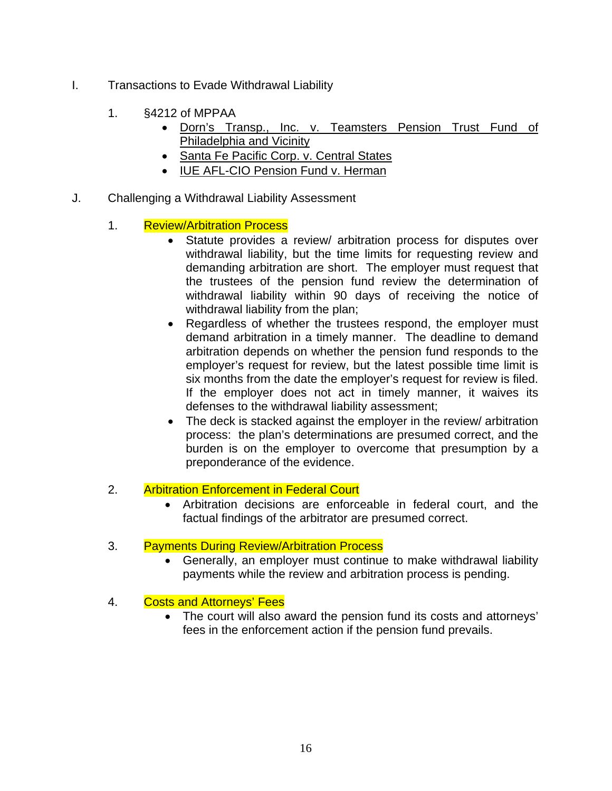- I. Transactions to Evade Withdrawal Liability
	- 1. §4212 of MPPAA
		- Dorn's Transp., Inc. v. Teamsters Pension Trust Fund of Philadelphia and Vicinity
		- Santa Fe Pacific Corp. v. Central States
		- IUE AFL-CIO Pension Fund v. Herman
- J. Challenging a Withdrawal Liability Assessment
	- 1. Review/Arbitration Process
		- Statute provides a review/ arbitration process for disputes over withdrawal liability, but the time limits for requesting review and demanding arbitration are short. The employer must request that the trustees of the pension fund review the determination of withdrawal liability within 90 days of receiving the notice of withdrawal liability from the plan;
		- Regardless of whether the trustees respond, the employer must demand arbitration in a timely manner. The deadline to demand arbitration depends on whether the pension fund responds to the employer's request for review, but the latest possible time limit is six months from the date the employer's request for review is filed. If the employer does not act in timely manner, it waives its defenses to the withdrawal liability assessment;
		- The deck is stacked against the employer in the review/ arbitration process: the plan's determinations are presumed correct, and the burden is on the employer to overcome that presumption by a preponderance of the evidence.
	- 2. Arbitration Enforcement in Federal Court
		- Arbitration decisions are enforceable in federal court, and the factual findings of the arbitrator are presumed correct.

#### 3. Payments During Review/Arbitration Process

- Generally, an employer must continue to make withdrawal liability payments while the review and arbitration process is pending.
- 4. Costs and Attorneys' Fees
	- The court will also award the pension fund its costs and attorneys' fees in the enforcement action if the pension fund prevails.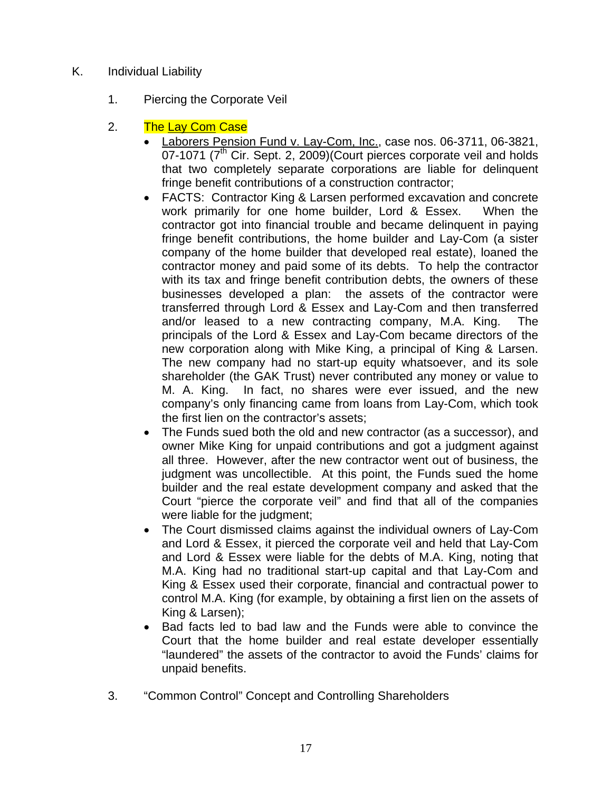- K. Individual Liability
	- 1. Piercing the Corporate Veil
	- 2. The Lay Com Case
		- Laborers Pension Fund v. Lay-Com, Inc., case nos. 06-3711, 06-3821,  $07-1071$  ( $7<sup>th</sup>$  Cir. Sept. 2, 2009)(Court pierces corporate veil and holds that two completely separate corporations are liable for delinquent fringe benefit contributions of a construction contractor;
		- FACTS: Contractor King & Larsen performed excavation and concrete work primarily for one home builder, Lord & Essex. When the contractor got into financial trouble and became delinquent in paying fringe benefit contributions, the home builder and Lay-Com (a sister company of the home builder that developed real estate), loaned the contractor money and paid some of its debts. To help the contractor with its tax and fringe benefit contribution debts, the owners of these businesses developed a plan: the assets of the contractor were transferred through Lord & Essex and Lay-Com and then transferred and/or leased to a new contracting company, M.A. King. The principals of the Lord & Essex and Lay-Com became directors of the new corporation along with Mike King, a principal of King & Larsen. The new company had no start-up equity whatsoever, and its sole shareholder (the GAK Trust) never contributed any money or value to M. A. King. In fact, no shares were ever issued, and the new company's only financing came from loans from Lay-Com, which took the first lien on the contractor's assets;
		- The Funds sued both the old and new contractor (as a successor), and owner Mike King for unpaid contributions and got a judgment against all three. However, after the new contractor went out of business, the judgment was uncollectible. At this point, the Funds sued the home builder and the real estate development company and asked that the Court "pierce the corporate veil" and find that all of the companies were liable for the judgment;
		- The Court dismissed claims against the individual owners of Lay-Com and Lord & Essex, it pierced the corporate veil and held that Lay-Com and Lord & Essex were liable for the debts of M.A. King, noting that M.A. King had no traditional start-up capital and that Lay-Com and King & Essex used their corporate, financial and contractual power to control M.A. King (for example, by obtaining a first lien on the assets of King & Larsen);
		- Bad facts led to bad law and the Funds were able to convince the Court that the home builder and real estate developer essentially "laundered" the assets of the contractor to avoid the Funds' claims for unpaid benefits.
	- 3. "Common Control" Concept and Controlling Shareholders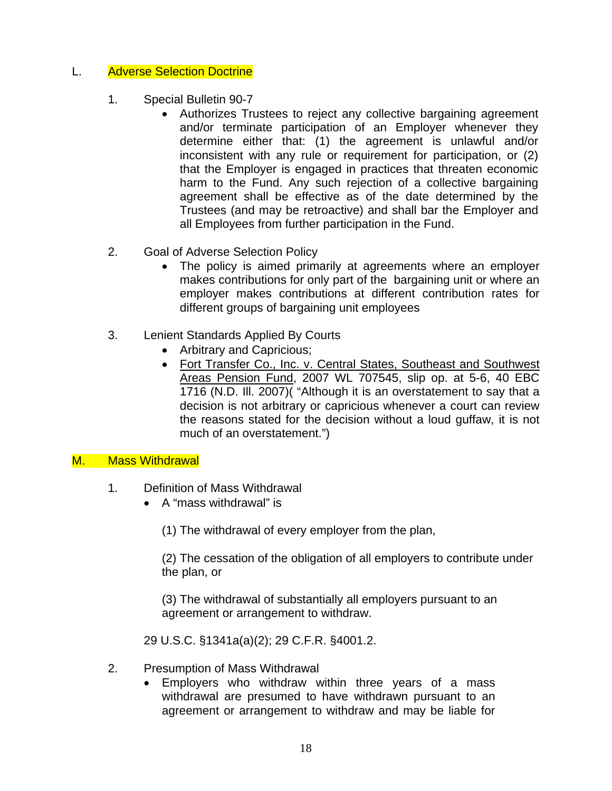#### L. Adverse Selection Doctrine

- 1. Special Bulletin 90-7
	- Authorizes Trustees to reject any collective bargaining agreement and/or terminate participation of an Employer whenever they determine either that: (1) the agreement is unlawful and/or inconsistent with any rule or requirement for participation, or (2) that the Employer is engaged in practices that threaten economic harm to the Fund. Any such rejection of a collective bargaining agreement shall be effective as of the date determined by the Trustees (and may be retroactive) and shall bar the Employer and all Employees from further participation in the Fund.
- 2. Goal of Adverse Selection Policy
	- The policy is aimed primarily at agreements where an employer makes contributions for only part of the bargaining unit or where an employer makes contributions at different contribution rates for different groups of bargaining unit employees
- 3. Lenient Standards Applied By Courts
	- Arbitrary and Capricious;
	- Fort Transfer Co., Inc. v. Central States, Southeast and Southwest Areas Pension Fund, 2007 WL 707545, slip op. at 5-6, 40 EBC 1716 (N.D. Ill. 2007)( "Although it is an overstatement to say that a decision is not arbitrary or capricious whenever a court can review the reasons stated for the decision without a loud guffaw, it is not much of an overstatement.")

#### M. Mass Withdrawal

- 1. Definition of Mass Withdrawal
	- A "mass withdrawal" is
		- (1) The withdrawal of every employer from the plan,

(2) The cessation of the obligation of all employers to contribute under the plan, or

(3) The withdrawal of substantially all employers pursuant to an agreement or arrangement to withdraw.

29 U.S.C. §1341a(a)(2); 29 C.F.R. §4001.2.

- 2. Presumption of Mass Withdrawal
	- Employers who withdraw within three years of a mass withdrawal are presumed to have withdrawn pursuant to an agreement or arrangement to withdraw and may be liable for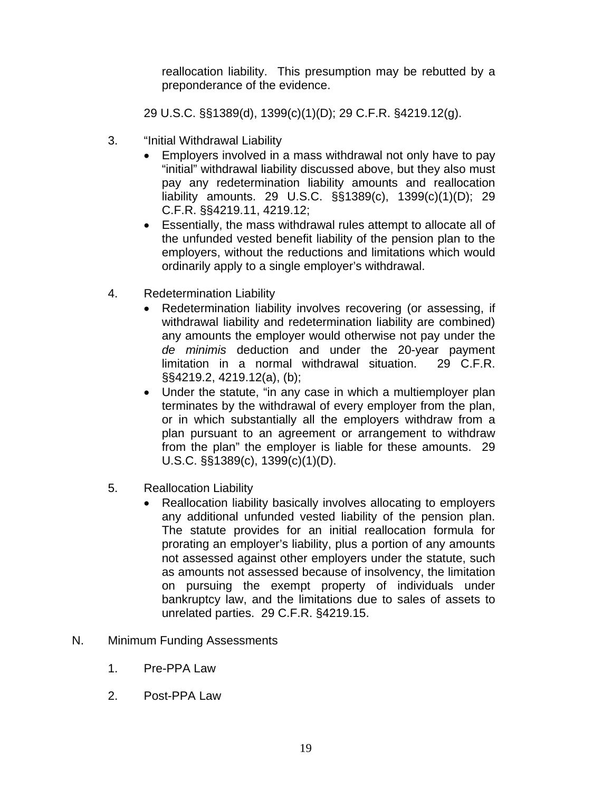reallocation liability. This presumption may be rebutted by a preponderance of the evidence.

29 U.S.C. §§1389(d), 1399(c)(1)(D); 29 C.F.R. §4219.12(g).

- 3. "Initial Withdrawal Liability
	- Employers involved in a mass withdrawal not only have to pay "initial" withdrawal liability discussed above, but they also must pay any redetermination liability amounts and reallocation liability amounts. 29 U.S.C. §§1389(c), 1399(c)(1)(D); 29 C.F.R. §§4219.11, 4219.12;
	- Essentially, the mass withdrawal rules attempt to allocate all of the unfunded vested benefit liability of the pension plan to the employers, without the reductions and limitations which would ordinarily apply to a single employer's withdrawal.
- 4. Redetermination Liability
	- Redetermination liability involves recovering (or assessing, if withdrawal liability and redetermination liability are combined) any amounts the employer would otherwise not pay under the *de minimis* deduction and under the 20-year payment limitation in a normal withdrawal situation. 29 C.F.R. §§4219.2, 4219.12(a), (b);
	- Under the statute, "in any case in which a multiemployer plan terminates by the withdrawal of every employer from the plan, or in which substantially all the employers withdraw from a plan pursuant to an agreement or arrangement to withdraw from the plan" the employer is liable for these amounts. 29 U.S.C. §§1389(c), 1399(c)(1)(D).
- 5. Reallocation Liability
	- Reallocation liability basically involves allocating to employers any additional unfunded vested liability of the pension plan. The statute provides for an initial reallocation formula for prorating an employer's liability, plus a portion of any amounts not assessed against other employers under the statute, such as amounts not assessed because of insolvency, the limitation on pursuing the exempt property of individuals under bankruptcy law, and the limitations due to sales of assets to unrelated parties. 29 C.F.R. §4219.15.
- N. Minimum Funding Assessments
	- 1. Pre-PPA Law
	- 2. Post-PPA Law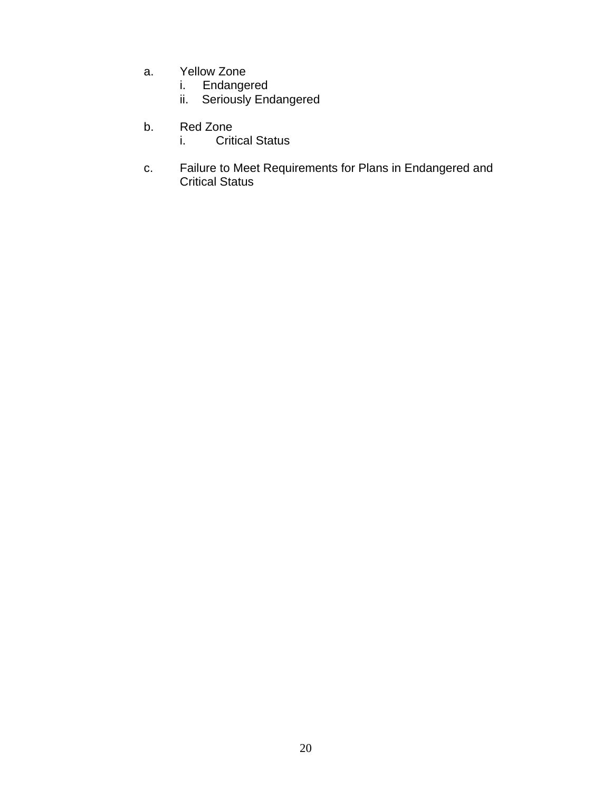- a. Yellow Zone
- **i.** Endangered
- ii. Seriously Endangered
	- b. Red Zone
		- i. Critical Status
- c. Failure to Meet Requirements for Plans in Endangered and Critical Status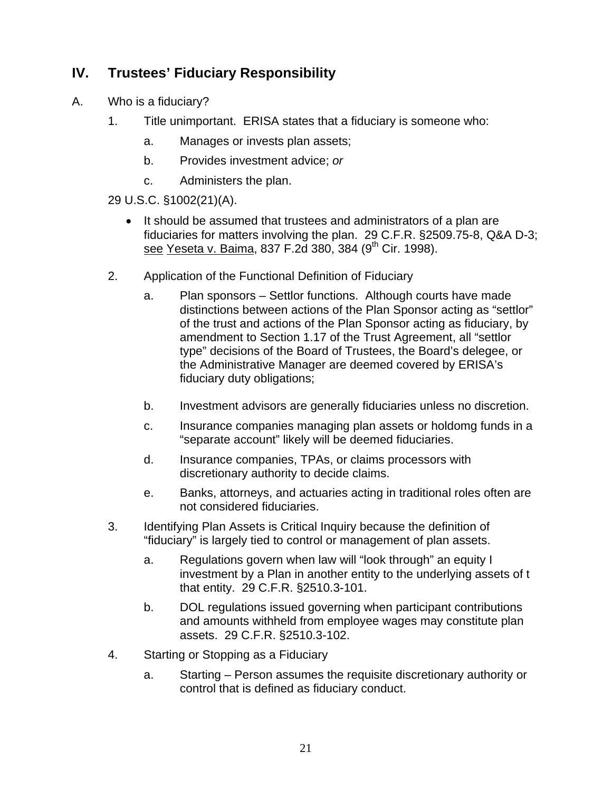#### **IV. Trustees' Fiduciary Responsibility**

- A. Who is a fiduciary?
	- 1. Title unimportant. ERISA states that a fiduciary is someone who:
		- a. Manages or invests plan assets;
		- b. Provides investment advice; *or*
		- c. Administers the plan.

29 U.S.C. §1002(21)(A).

- It should be assumed that trustees and administrators of a plan are fiduciaries for matters involving the plan. 29 C.F.R. §2509.75-8, Q&A D-3; see Yeseta v. Baima, 837 F.2d 380, 384 (9<sup>th</sup> Cir. 1998).
- 2. Application of the Functional Definition of Fiduciary
	- a. Plan sponsors Settlor functions. Although courts have made distinctions between actions of the Plan Sponsor acting as "settlor" of the trust and actions of the Plan Sponsor acting as fiduciary, by amendment to Section 1.17 of the Trust Agreement, all "settlor type" decisions of the Board of Trustees, the Board's delegee, or the Administrative Manager are deemed covered by ERISA's fiduciary duty obligations;
	- b. Investment advisors are generally fiduciaries unless no discretion.
	- c. Insurance companies managing plan assets or holdomg funds in a "separate account" likely will be deemed fiduciaries.
	- d. Insurance companies, TPAs, or claims processors with discretionary authority to decide claims.
	- e. Banks, attorneys, and actuaries acting in traditional roles often are not considered fiduciaries.
- 3. Identifying Plan Assets is Critical Inquiry because the definition of "fiduciary" is largely tied to control or management of plan assets.
	- a. Regulations govern when law will "look through" an equity I investment by a Plan in another entity to the underlying assets of t that entity. 29 C.F.R. §2510.3-101.
	- b. DOL regulations issued governing when participant contributions and amounts withheld from employee wages may constitute plan assets. 29 C.F.R. §2510.3-102.
- 4. Starting or Stopping as a Fiduciary
	- a. Starting Person assumes the requisite discretionary authority or control that is defined as fiduciary conduct.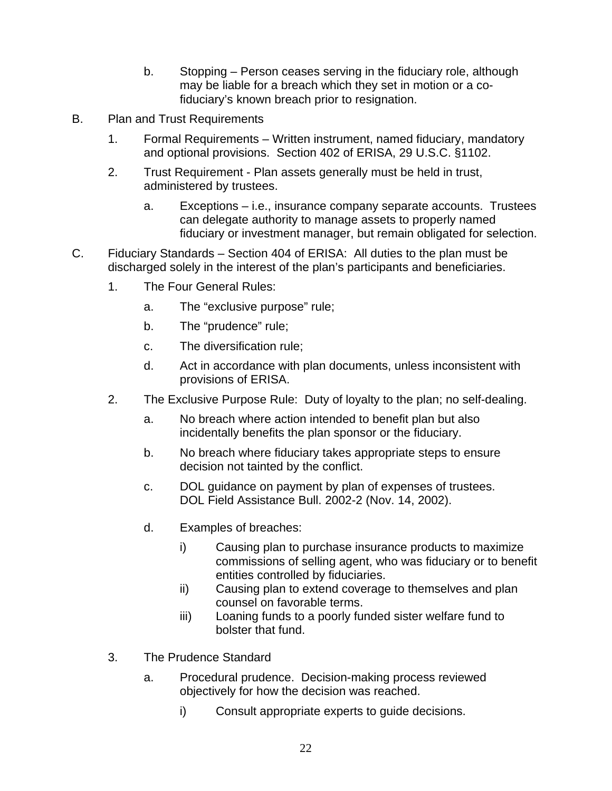- b. Stopping Person ceases serving in the fiduciary role, although may be liable for a breach which they set in motion or a cofiduciary's known breach prior to resignation.
- B. Plan and Trust Requirements
	- 1. Formal Requirements Written instrument, named fiduciary, mandatory and optional provisions. Section 402 of ERISA, 29 U.S.C. §1102.
	- 2. Trust Requirement Plan assets generally must be held in trust, administered by trustees.
		- a. Exceptions i.e., insurance company separate accounts. Trustees can delegate authority to manage assets to properly named fiduciary or investment manager, but remain obligated for selection.
- C. Fiduciary Standards Section 404 of ERISA: All duties to the plan must be discharged solely in the interest of the plan's participants and beneficiaries.
	- 1. The Four General Rules:
		- a. The "exclusive purpose" rule;
		- b. The "prudence" rule;
		- c. The diversification rule;
		- d. Act in accordance with plan documents, unless inconsistent with provisions of ERISA.
	- 2. The Exclusive Purpose Rule: Duty of loyalty to the plan; no self-dealing.
		- a. No breach where action intended to benefit plan but also incidentally benefits the plan sponsor or the fiduciary.
		- b. No breach where fiduciary takes appropriate steps to ensure decision not tainted by the conflict.
		- c. DOL guidance on payment by plan of expenses of trustees. DOL Field Assistance Bull. 2002-2 (Nov. 14, 2002).
		- d. Examples of breaches:
			- i) Causing plan to purchase insurance products to maximize commissions of selling agent, who was fiduciary or to benefit entities controlled by fiduciaries.
			- ii) Causing plan to extend coverage to themselves and plan counsel on favorable terms.
			- iii) Loaning funds to a poorly funded sister welfare fund to bolster that fund.
	- 3. The Prudence Standard
		- a. Procedural prudence. Decision-making process reviewed objectively for how the decision was reached.
			- i) Consult appropriate experts to guide decisions.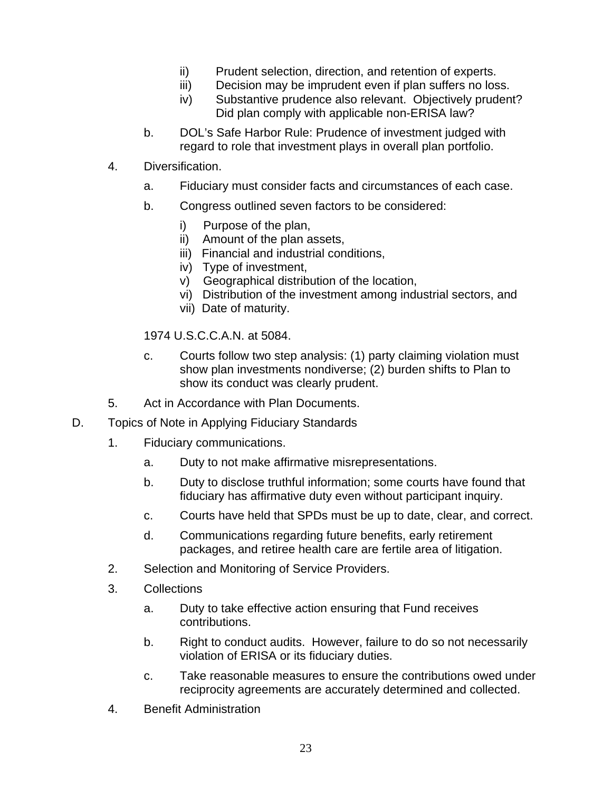- ii) Prudent selection, direction, and retention of experts.
- iii) Decision may be imprudent even if plan suffers no loss.
- iv) Substantive prudence also relevant. Objectively prudent? Did plan comply with applicable non-ERISA law?
- b. DOL's Safe Harbor Rule: Prudence of investment judged with regard to role that investment plays in overall plan portfolio.
- 4. Diversification.
	- a. Fiduciary must consider facts and circumstances of each case.
	- b. Congress outlined seven factors to be considered:
		- i) Purpose of the plan,
		- ii) Amount of the plan assets,
		- iii) Financial and industrial conditions,
		- iv) Type of investment,
		- v) Geographical distribution of the location,
		- vi) Distribution of the investment among industrial sectors, and
		- vii) Date of maturity.

1974 U.S.C.C.A.N. at 5084.

- c. Courts follow two step analysis: (1) party claiming violation must show plan investments nondiverse; (2) burden shifts to Plan to show its conduct was clearly prudent.
- 5. Act in Accordance with Plan Documents.
- D. Topics of Note in Applying Fiduciary Standards
	- 1. Fiduciary communications.
		- a. Duty to not make affirmative misrepresentations.
		- b. Duty to disclose truthful information; some courts have found that fiduciary has affirmative duty even without participant inquiry.
		- c. Courts have held that SPDs must be up to date, clear, and correct.
		- d. Communications regarding future benefits, early retirement packages, and retiree health care are fertile area of litigation.
	- 2. Selection and Monitoring of Service Providers.
	- 3. Collections
		- a. Duty to take effective action ensuring that Fund receives contributions.
		- b. Right to conduct audits. However, failure to do so not necessarily violation of ERISA or its fiduciary duties.
		- c. Take reasonable measures to ensure the contributions owed under reciprocity agreements are accurately determined and collected.
	- 4. Benefit Administration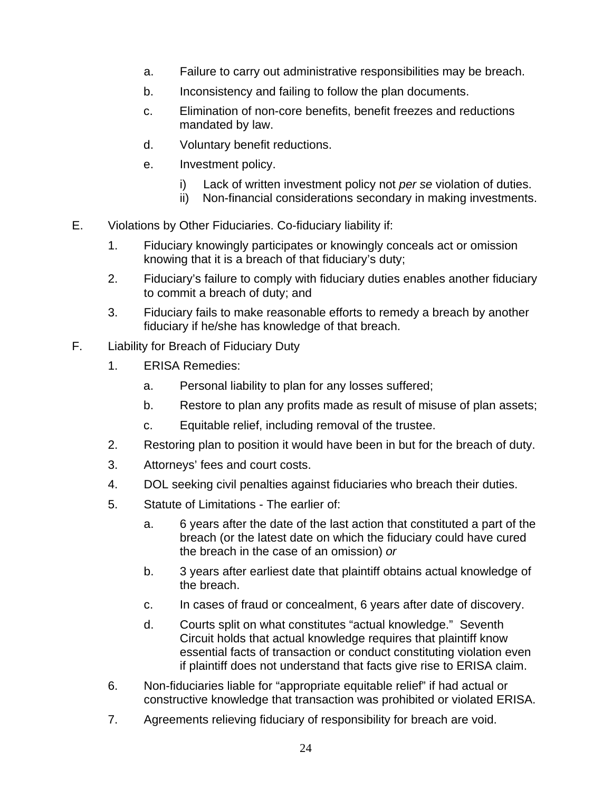- a. Failure to carry out administrative responsibilities may be breach.
- b. Inconsistency and failing to follow the plan documents.
- c. Elimination of non-core benefits, benefit freezes and reductions mandated by law.
- d. Voluntary benefit reductions.
- e. Investment policy.
	- i) Lack of written investment policy not *per se* violation of duties.
	- ii) Non-financial considerations secondary in making investments.
- E. Violations by Other Fiduciaries. Co-fiduciary liability if:
	- 1. Fiduciary knowingly participates or knowingly conceals act or omission knowing that it is a breach of that fiduciary's duty;
	- 2. Fiduciary's failure to comply with fiduciary duties enables another fiduciary to commit a breach of duty; and
	- 3. Fiduciary fails to make reasonable efforts to remedy a breach by another fiduciary if he/she has knowledge of that breach.
- F. Liability for Breach of Fiduciary Duty
	- 1. ERISA Remedies:
		- a. Personal liability to plan for any losses suffered;
		- b. Restore to plan any profits made as result of misuse of plan assets;
		- c. Equitable relief, including removal of the trustee.
	- 2. Restoring plan to position it would have been in but for the breach of duty.
	- 3. Attorneys' fees and court costs.
	- 4. DOL seeking civil penalties against fiduciaries who breach their duties.
	- 5. Statute of Limitations The earlier of:
		- a. 6 years after the date of the last action that constituted a part of the breach (or the latest date on which the fiduciary could have cured the breach in the case of an omission) *or*
		- b. 3 years after earliest date that plaintiff obtains actual knowledge of the breach.
		- c. In cases of fraud or concealment, 6 years after date of discovery.
		- d. Courts split on what constitutes "actual knowledge." Seventh Circuit holds that actual knowledge requires that plaintiff know essential facts of transaction or conduct constituting violation even if plaintiff does not understand that facts give rise to ERISA claim.
	- 6. Non-fiduciaries liable for "appropriate equitable relief" if had actual or constructive knowledge that transaction was prohibited or violated ERISA.
	- 7. Agreements relieving fiduciary of responsibility for breach are void.